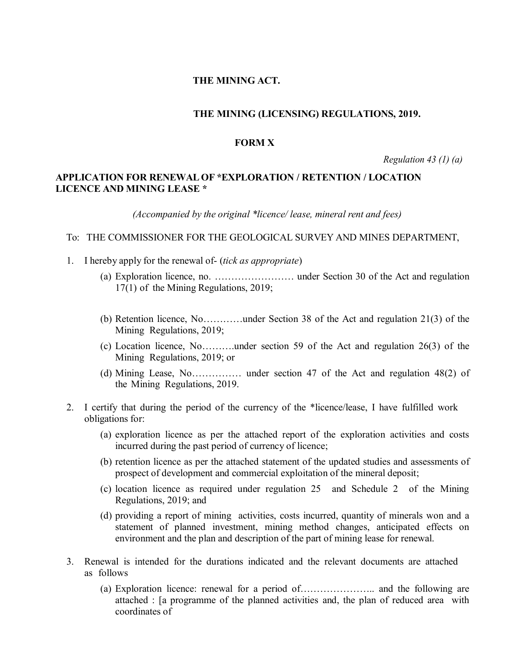## **THE MINING ACT.**

## **THE MINING (LICENSING) REGULATIONS, 2019.**

#### **FORM X**

*Regulation 43 (1) (a)*

# **APPLICATION FOR RENEWALOF \*EXPLORATION / RETENTION / LOCATION LICENCE AND MINING LEASE \***

*(Accompanied by the original \*licence/ lease, mineral rent and fees)*

### To: THE COMMISSIONER FOR THE GEOLOGICAL SURVEY AND MINES DEPARTMENT,

- 1. I hereby apply for the renewal of- (*tick as appropriate*)
	- (a) Exploration licence, no. …………………… under Section 30 of the Act and regulation 17(1) of the Mining Regulations, 2019;
	- (b) Retention licence, No…………under Section 38 of the Act and regulation 21(3) of the Mining Regulations, 2019;
	- (c) Location licence, No……….under section 59 of the Act and regulation 26(3) of the Mining Regulations, 2019; or
	- (d) Mining Lease, No…………… under section 47 of the Act and regulation 48(2) of the Mining Regulations, 2019.
- 2. I certify that during the period of the currency of the \*licence/lease, I have fulfilled work obligations for:
	- (a) exploration licence as per the attached report of the exploration activities and costs incurred during the past period of currency of licence;
	- (b) retention licence as per the attached statement of the updated studies and assessments of prospect of development and commercial exploitation of the mineral deposit;
	- (c) location licence as required under regulation 25 and Schedule 2 of the Mining Regulations, 2019; and
	- (d) providing a report of mining activities, costs incurred, quantity of minerals won and a statement of planned investment, mining method changes, anticipated effects on environment and the plan and description of the part of mining lease for renewal.
- 3. Renewal is intended for the durations indicated and the relevant documents are attached as follows
	- (a) Exploration licence: renewal for a period of………………….. and the following are attached : [a programme of the planned activities and, the plan of reduced area with coordinates of